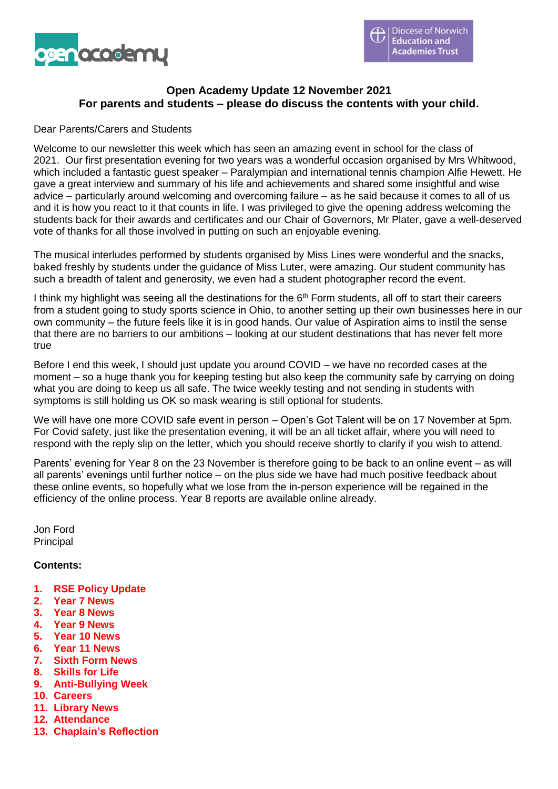

#### **Open Academy Update 12 November 2021 For parents and students – please do discuss the contents with your child.**

#### Dear Parents/Carers and Students

Welcome to our newsletter this week which has seen an amazing event in school for the class of 2021. Our first presentation evening for two years was a wonderful occasion organised by Mrs Whitwood, which included a fantastic guest speaker – Paralympian and international tennis champion Alfie Hewett. He gave a great interview and summary of his life and achievements and shared some insightful and wise advice – particularly around welcoming and overcoming failure – as he said because it comes to all of us and it is how you react to it that counts in life. I was privileged to give the opening address welcoming the students back for their awards and certificates and our Chair of Governors, Mr Plater, gave a well-deserved vote of thanks for all those involved in putting on such an enjoyable evening.

The musical interludes performed by students organised by Miss Lines were wonderful and the snacks, baked freshly by students under the guidance of Miss Luter, were amazing. Our student community has such a breadth of talent and generosity, we even had a student photographer record the event.

I think my highlight was seeing all the destinations for the  $6<sup>th</sup>$  Form students, all off to start their careers from a student going to study sports science in Ohio, to another setting up their own businesses here in our own community – the future feels like it is in good hands. Our value of Aspiration aims to instil the sense that there are no barriers to our ambitions – looking at our student destinations that has never felt more true

Before I end this week, I should just update you around COVID – we have no recorded cases at the moment – so a huge thank you for keeping testing but also keep the community safe by carrying on doing what you are doing to keep us all safe. The twice weekly testing and not sending in students with symptoms is still holding us OK so mask wearing is still optional for students.

We will have one more COVID safe event in person – Open's Got Talent will be on 17 November at 5pm. For Covid safety, just like the presentation evening, it will be an all ticket affair, where you will need to respond with the reply slip on the letter, which you should receive shortly to clarify if you wish to attend.

Parents' evening for Year 8 on the 23 November is therefore going to be back to an online event – as will all parents' evenings until further notice – on the plus side we have had much positive feedback about these online events, so hopefully what we lose from the in-person experience will be regained in the efficiency of the online process. Year 8 reports are available online already.

Jon Ford Principal

#### **Contents:**

- **1. RSE Policy Update**
- **2. Year 7 News**
- **3. Year 8 News**
- **4. Year 9 News**
- **5. Year 10 News**
- **6. Year 11 News**
- **7. Sixth Form News**
- **8. Skills for Life**
- **9. Anti-Bullying Week**
- **10. Careers**
- **11. Library News**
- **12. Attendance**
- **13. Chaplain's Reflection**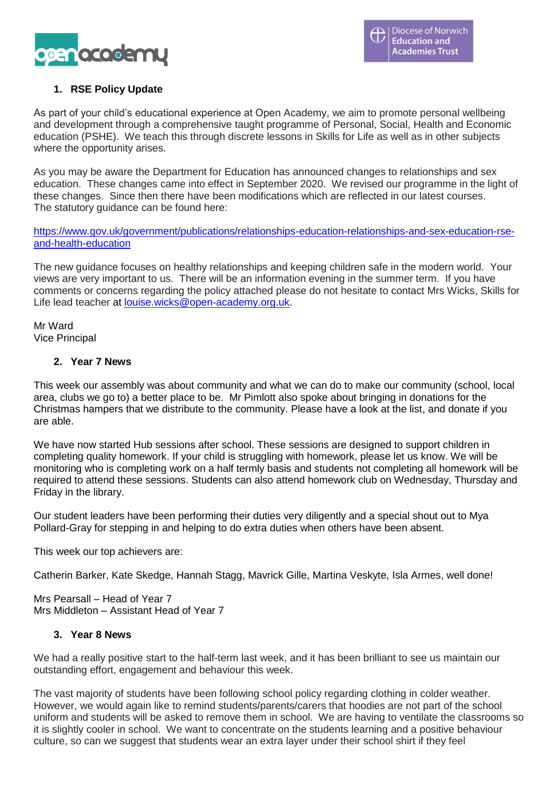

### **1. RSE Policy Update**

As part of your child's educational experience at Open Academy, we aim to promote personal wellbeing and development through a comprehensive taught programme of Personal, Social, Health and Economic education (PSHE). We teach this through discrete lessons in Skills for Life as well as in other subjects where the opportunity arises.

As you may be aware the Department for Education has announced changes to relationships and sex education. These changes came into effect in September 2020. We revised our programme in the light of these changes. Since then there have been modifications which are reflected in our latest courses. The statutory guidance can be found here:

[https://www.gov.uk/government/publications/relationships-education-relationships-and-sex-education-rse](https://www.gov.uk/government/publications/relationships-education-relationships-and-sex-education-rse-and-health-education)[and-health-education](https://www.gov.uk/government/publications/relationships-education-relationships-and-sex-education-rse-and-health-education)

The new guidance focuses on healthy relationships and keeping children safe in the modern world. Your views are very important to us. There will be an information evening in the summer term. If you have comments or concerns regarding the policy attached please do not hesitate to contact Mrs Wicks, Skills for Life lead teacher at [louise.wicks@open-academy.org.uk.](mailto:louise.wicks@open-academy.org.uk)

Mr Ward Vice Principal

#### **2. Year 7 News**

This week our assembly was about community and what we can do to make our community (school, local area, clubs we go to) a better place to be. Mr Pimlott also spoke about bringing in donations for the Christmas hampers that we distribute to the community. Please have a look at the list, and donate if you are able.

We have now started Hub sessions after school. These sessions are designed to support children in completing quality homework. If your child is struggling with homework, please let us know. We will be monitoring who is completing work on a half termly basis and students not completing all homework will be required to attend these sessions. Students can also attend homework club on Wednesday, Thursday and Friday in the library.

Our student leaders have been performing their duties very diligently and a special shout out to Mya Pollard-Gray for stepping in and helping to do extra duties when others have been absent.

This week our top achievers are:

Catherin Barker, Kate Skedge, Hannah Stagg, Mavrick Gille, Martina Veskyte, Isla Armes, well done!

Mrs Pearsall – Head of Year 7 Mrs Middleton – Assistant Head of Year 7

#### **3. Year 8 News**

We had a really positive start to the half-term last week, and it has been brilliant to see us maintain our outstanding effort, engagement and behaviour this week.

The vast majority of students have been following school policy regarding clothing in colder weather. However, we would again like to remind students/parents/carers that hoodies are not part of the school uniform and students will be asked to remove them in school. We are having to ventilate the classrooms so it is slightly cooler in school. We want to concentrate on the students learning and a positive behaviour culture, so can we suggest that students wear an extra layer under their school shirt if they feel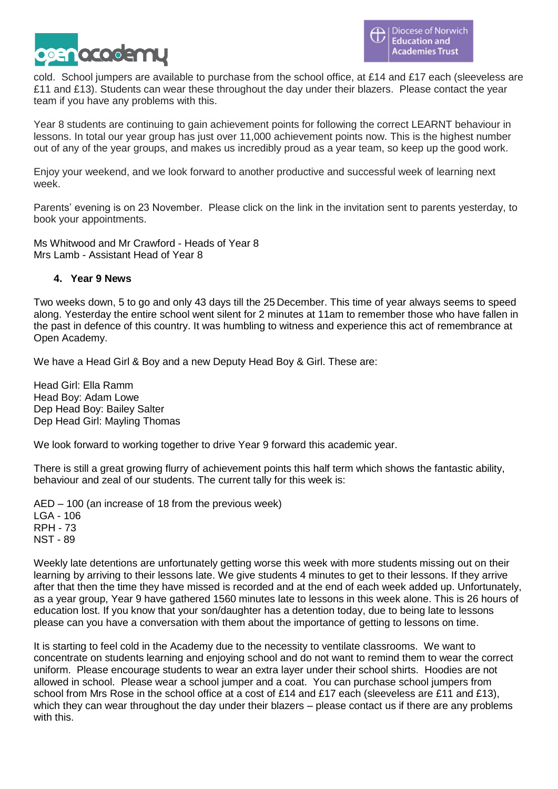

cold. School jumpers are available to purchase from the school office, at £14 and £17 each (sleeveless are £11 and £13). Students can wear these throughout the day under their blazers. Please contact the year team if you have any problems with this.

Year 8 students are continuing to gain achievement points for following the correct LEARNT behaviour in lessons. In total our year group has just over 11,000 achievement points now. This is the highest number out of any of the year groups, and makes us incredibly proud as a year team, so keep up the good work.

Enjoy your weekend, and we look forward to another productive and successful week of learning next week.

Parents' evening is on 23 November. Please click on the link in the invitation sent to parents yesterday, to book your appointments.

Ms Whitwood and Mr Crawford - Heads of Year 8 Mrs Lamb - Assistant Head of Year 8

#### **4. Year 9 News**

Two weeks down, 5 to go and only 43 days till the 25 December. This time of year always seems to speed along. Yesterday the entire school went silent for 2 minutes at 11am to remember those who have fallen in the past in defence of this country. It was humbling to witness and experience this act of remembrance at Open Academy.

We have a Head Girl & Boy and a new Deputy Head Boy & Girl. These are:

Head Girl: Ella Ramm Head Boy: Adam Lowe Dep Head Boy: Bailey Salter Dep Head Girl: Mayling Thomas

We look forward to working together to drive Year 9 forward this academic year.

There is still a great growing flurry of achievement points this half term which shows the fantastic ability, behaviour and zeal of our students. The current tally for this week is:

AED – 100 (an increase of 18 from the previous week) LGA - 106 RPH - 73 NST - 89

Weekly late detentions are unfortunately getting worse this week with more students missing out on their learning by arriving to their lessons late. We give students 4 minutes to get to their lessons. If they arrive after that then the time they have missed is recorded and at the end of each week added up. Unfortunately, as a year group, Year 9 have gathered 1560 minutes late to lessons in this week alone. This is 26 hours of education lost. If you know that your son/daughter has a detention today, due to being late to lessons please can you have a conversation with them about the importance of getting to lessons on time.

It is starting to feel cold in the Academy due to the necessity to ventilate classrooms. We want to concentrate on students learning and enjoying school and do not want to remind them to wear the correct uniform. Please encourage students to wear an extra layer under their school shirts. Hoodies are not allowed in school. Please wear a school jumper and a coat. You can purchase school jumpers from school from Mrs Rose in the school office at a cost of £14 and £17 each (sleeveless are £11 and £13). which they can wear throughout the day under their blazers – please contact us if there are any problems with this.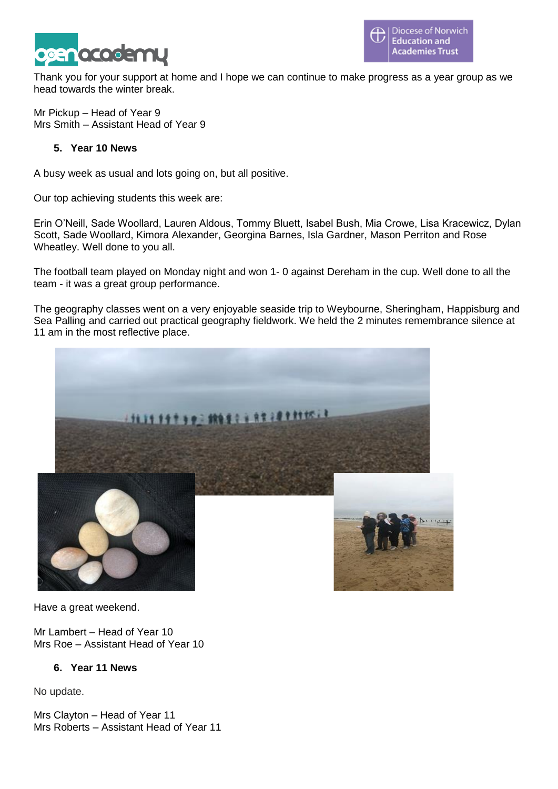

Thank you for your support at home and I hope we can continue to make progress as a year group as we head towards the winter break.

Mr Pickup – Head of Year 9 Mrs Smith – Assistant Head of Year 9

#### **5. Year 10 News**

A busy week as usual and lots going on, but all positive.

Our top achieving students this week are:

Erin O'Neill, Sade Woollard, Lauren Aldous, Tommy Bluett, Isabel Bush, Mia Crowe, Lisa Kracewicz, Dylan Scott, Sade Woollard, Kimora Alexander, Georgina Barnes, Isla Gardner, Mason Perriton and Rose Wheatley. Well done to you all.

The football team played on Monday night and won 1- 0 against Dereham in the cup. Well done to all the team - it was a great group performance.

The geography classes went on a very enjoyable seaside trip to Weybourne, Sheringham, Happisburg and Sea Palling and carried out practical geography fieldwork. We held the 2 minutes remembrance silence at 11 am in the most reflective place.



Have a great weekend.

Mr Lambert – Head of Year 10 Mrs Roe – Assistant Head of Year 10

#### **6. Year 11 News**

No update.

Mrs Clayton – Head of Year 11 Mrs Roberts – Assistant Head of Year 11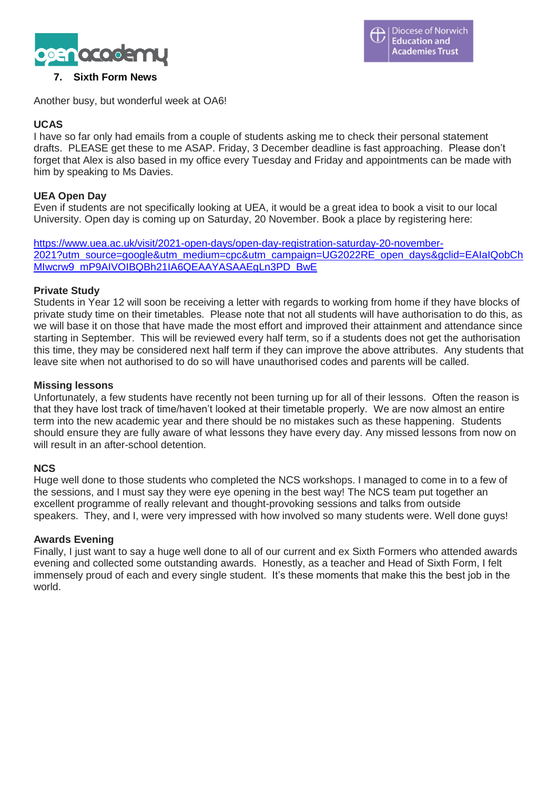

#### **7. Sixth Form News**

Another busy, but wonderful week at OA6!

#### **UCAS**

I have so far only had emails from a couple of students asking me to check their personal statement drafts. PLEASE get these to me ASAP. Friday, 3 December deadline is fast approaching. Please don't forget that Alex is also based in my office every Tuesday and Friday and appointments can be made with him by speaking to Ms Davies.

#### **UEA Open Day**

Even if students are not specifically looking at UEA, it would be a great idea to book a visit to our local University. Open day is coming up on Saturday, 20 November. Book a place by registering here:

[https://www.uea.ac.uk/visit/2021-open-days/open-day-registration-saturday-20-november-](https://www.uea.ac.uk/visit/2021-open-days/open-day-registration-saturday-20-november-2021?utm_source=google&utm_medium=cpc&utm_campaign=UG2022RE_open_days&gclid=EAIaIQobChMIwcrw9_mP9AIVOIBQBh21IA6QEAAYASAAEgLn3PD_BwE)[2021?utm\\_source=google&utm\\_medium=cpc&utm\\_campaign=UG2022RE\\_open\\_days&gclid=EAIaIQobCh](https://www.uea.ac.uk/visit/2021-open-days/open-day-registration-saturday-20-november-2021?utm_source=google&utm_medium=cpc&utm_campaign=UG2022RE_open_days&gclid=EAIaIQobChMIwcrw9_mP9AIVOIBQBh21IA6QEAAYASAAEgLn3PD_BwE) [MIwcrw9\\_mP9AIVOIBQBh21IA6QEAAYASAAEgLn3PD\\_BwE](https://www.uea.ac.uk/visit/2021-open-days/open-day-registration-saturday-20-november-2021?utm_source=google&utm_medium=cpc&utm_campaign=UG2022RE_open_days&gclid=EAIaIQobChMIwcrw9_mP9AIVOIBQBh21IA6QEAAYASAAEgLn3PD_BwE)

#### **Private Study**

Students in Year 12 will soon be receiving a letter with regards to working from home if they have blocks of private study time on their timetables. Please note that not all students will have authorisation to do this, as we will base it on those that have made the most effort and improved their attainment and attendance since starting in September. This will be reviewed every half term, so if a students does not get the authorisation this time, they may be considered next half term if they can improve the above attributes. Any students that leave site when not authorised to do so will have unauthorised codes and parents will be called.

#### **Missing lessons**

Unfortunately, a few students have recently not been turning up for all of their lessons. Often the reason is that they have lost track of time/haven't looked at their timetable properly. We are now almost an entire term into the new academic year and there should be no mistakes such as these happening. Students should ensure they are fully aware of what lessons they have every day. Any missed lessons from now on will result in an after-school detention.

#### **NCS**

Huge well done to those students who completed the NCS workshops. I managed to come in to a few of the sessions, and I must say they were eye opening in the best way! The NCS team put together an excellent programme of really relevant and thought-provoking sessions and talks from outside speakers. They, and I, were very impressed with how involved so many students were. Well done guys!

#### **Awards Evening**

Finally, I just want to say a huge well done to all of our current and ex Sixth Formers who attended awards evening and collected some outstanding awards. Honestly, as a teacher and Head of Sixth Form, I felt immensely proud of each and every single student. It's these moments that make this the best job in the world.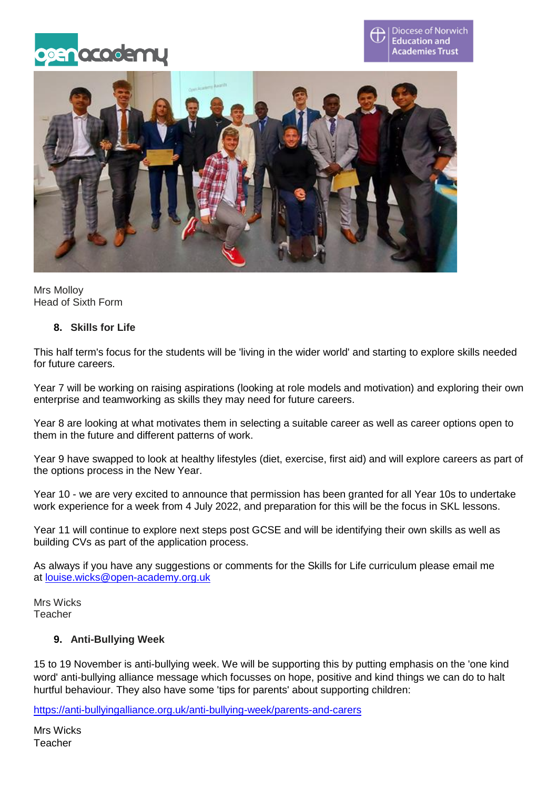





Mrs Molloy Head of Sixth Form

#### **8. Skills for Life**

This half term's focus for the students will be 'living in the wider world' and starting to explore skills needed for future careers.

Year 7 will be working on raising aspirations (looking at role models and motivation) and exploring their own enterprise and teamworking as skills they may need for future careers.

Year 8 are looking at what motivates them in selecting a suitable career as well as career options open to them in the future and different patterns of work.

Year 9 have swapped to look at healthy lifestyles (diet, exercise, first aid) and will explore careers as part of the options process in the New Year.

Year 10 - we are very excited to announce that permission has been granted for all Year 10s to undertake work experience for a week from 4 July 2022, and preparation for this will be the focus in SKL lessons.

Year 11 will continue to explore next steps post GCSE and will be identifying their own skills as well as building CVs as part of the application process.

As always if you have any suggestions or comments for the Skills for Life curriculum please email me at [louise.wicks@open-academy.org.uk](mailto:louise.wicks@open-academy.org.uk)

Mrs Wicks Teacher

#### **9. Anti-Bullying Week**

15 to 19 November is anti-bullying week. We will be supporting this by putting emphasis on the 'one kind word' anti-bullying alliance message which focusses on hope, positive and kind things we can do to halt hurtful behaviour. They also have some 'tips for parents' about supporting children:

<https://anti-bullyingalliance.org.uk/anti-bullying-week/parents-and-carers>

Mrs Wicks **Teacher**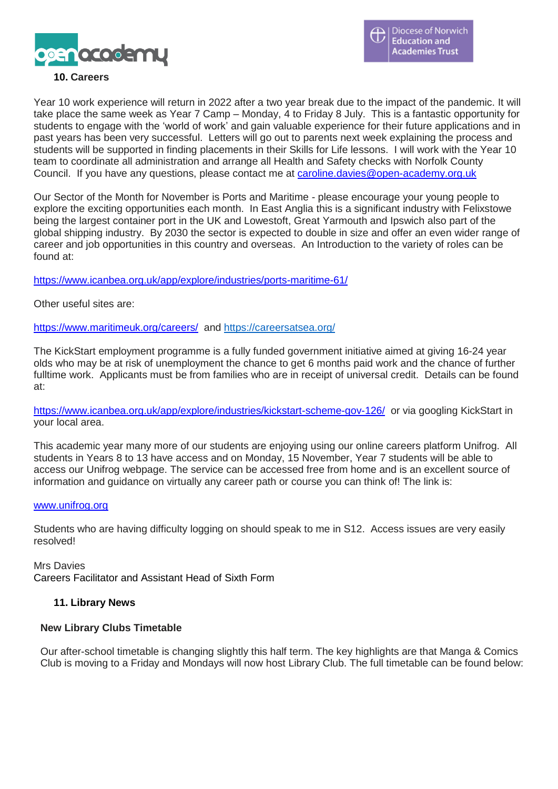

#### **10. Careers**

Year 10 work experience will return in 2022 after a two year break due to the impact of the pandemic. It will take place the same week as Year 7 Camp – Monday, 4 to Friday 8 July. This is a fantastic opportunity for students to engage with the 'world of work' and gain valuable experience for their future applications and in past years has been very successful. Letters will go out to parents next week explaining the process and students will be supported in finding placements in their Skills for Life lessons. I will work with the Year 10 team to coordinate all administration and arrange all Health and Safety checks with Norfolk County Council. If you have any questions, please contact me at [caroline.davies@open-academy.org.uk](mailto:caroline.davies@open-academy.org.uk)

Our Sector of the Month for November is Ports and Maritime - please encourage your young people to explore the exciting opportunities each month. In East Anglia this is a significant industry with Felixstowe being the largest container port in the UK and Lowestoft, Great Yarmouth and Ipswich also part of the global shipping industry. By 2030 the sector is expected to double in size and offer an even wider range of career and job opportunities in this country and overseas. An Introduction to the variety of roles can be found at:

<https://www.icanbea.org.uk/app/explore/industries/ports-maritime-61/>

Other useful sites are:

<https://www.maritimeuk.org/careers/> and <https://careersatsea.org/>

The KickStart employment programme is a fully funded government initiative aimed at giving 16-24 year olds who may be at risk of unemployment the chance to get 6 months paid work and the chance of further fulltime work. Applicants must be from families who are in receipt of universal credit. Details can be found at:

<https://www.icanbea.org.uk/app/explore/industries/kickstart-scheme-gov-126/> or via googling KickStart in your local area.

This academic year many more of our students are enjoying using our online careers platform Unifrog. All students in Years 8 to 13 have access and on Monday, 15 November, Year 7 students will be able to access our Unifrog webpage. The service can be accessed free from home and is an excellent source of information and guidance on virtually any career path or course you can think of! The link is:

#### [www.unifrog.org](http://www.unifrog.org/)

Students who are having difficulty logging on should speak to me in S12. Access issues are very easily resolved!

Mrs Davies Careers Facilitator and Assistant Head of Sixth Form

#### **11. Library News**

#### **New Library Clubs Timetable**

Our after-school timetable is changing slightly this half term. The key highlights are that Manga & Comics Club is moving to a Friday and Mondays will now host Library Club. The full timetable can be found below: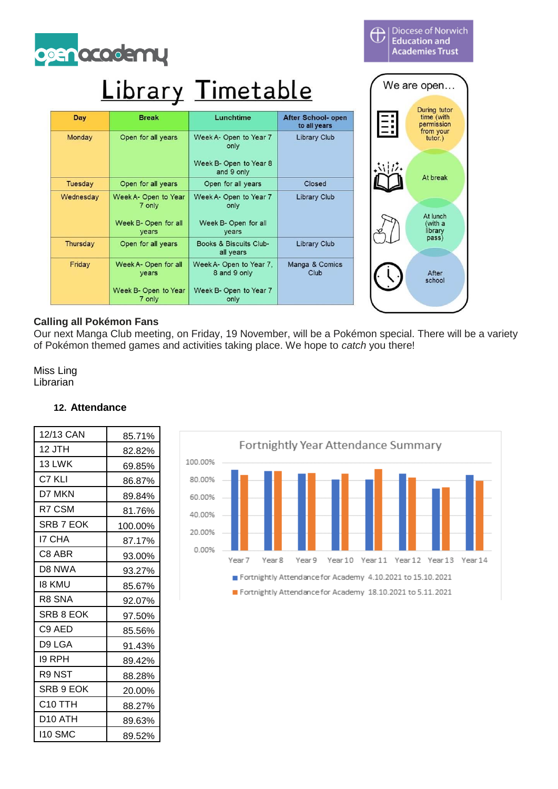

## Library Timetable

| Day       | <b>Break</b>                                           | Lunchtime                                                | <b>After School- open</b><br>to all years |
|-----------|--------------------------------------------------------|----------------------------------------------------------|-------------------------------------------|
| Monday    | Open for all years                                     | Week A- Open to Year 7<br>only<br>Week B- Open to Year 8 | <b>Library Club</b>                       |
|           |                                                        | and 9 only                                               |                                           |
| Tuesday   | Open for all years                                     | Open for all years                                       | Closed                                    |
| Wednesday | Week A- Open to Year<br>7 only<br>Week B- Open for all | Week A- Open to Year 7<br>only<br>Week B- Open for all   | <b>Library Club</b>                       |
|           | years                                                  | years                                                    |                                           |
| Thursday  | Open for all years                                     | Books & Biscuits Club-<br>all years                      | <b>Library Club</b>                       |
| Friday    | Week A- Open for all<br>years                          | Week A- Open to Year 7,<br>8 and 9 only                  | Manga & Comics<br>Club                    |
|           | Week B- Open to Year<br>7 only                         | Week B- Open to Year 7<br>only                           |                                           |

We are open... During tutor<br>time (with<br>permission from your<br>tutor.) At break At lunch (with a<br>library<br>pass) After school

**Diocese of Norwich Education and** 

**Academies Trust** 

 $\overline{\oplus}$ 

#### **Calling all Pokémon Fans**

Our next Manga Club meeting, on Friday, 19 November, will be a Pokémon special. There will be a variety of Pokémon themed games and activities taking place. We hope to *catch* you there!

Miss Ling Librarian

#### Fortnightly Year Attendance Summary 100.00% 80.00% 60.00% 40.00% 20,00% 0.00% Year<sub>7</sub> Year 8 Year 9 Year10 Year11 Year12 Year13 Year 14 Fortnightly Attendance for Academy 4.10.2021 to 15.10.2021 Fortnightly Attendance for Academy 18.10.2021 to 5.11.2021

#### **12. Attendance**

| 12/13 CAN     | 85.71%  |
|---------------|---------|
| 12 JTH        | 82.82%  |
| 13 LWK        | 69.85%  |
| C7 KLI        | 86.87%  |
| d7 mkn        | 89.84%  |
| R7 CSM        | 81.76%  |
| SRB 7 EOK     | 100.00% |
| <b>I7 CHA</b> | 87.17%  |
| C8 ABR        | 93.00%  |
| D8 NWA        | 93.27%  |
| 18 KMU        | 85.67%  |
| R8 SNA        | 92.07%  |
| SRB 8 EOK     | 97.50%  |
| C9 AED        | 85.56%  |
| D9 LGA        | 91.43%  |
| 19 RPH        | 89.42%  |
| R9 NST        | 88.28%  |
| SRB 9 EOK     | 20.00%  |
| C10 TTH       | 88.27%  |
| D10 ATH       | 89.63%  |
| 110 SMC       | 89.52%  |
|               |         |

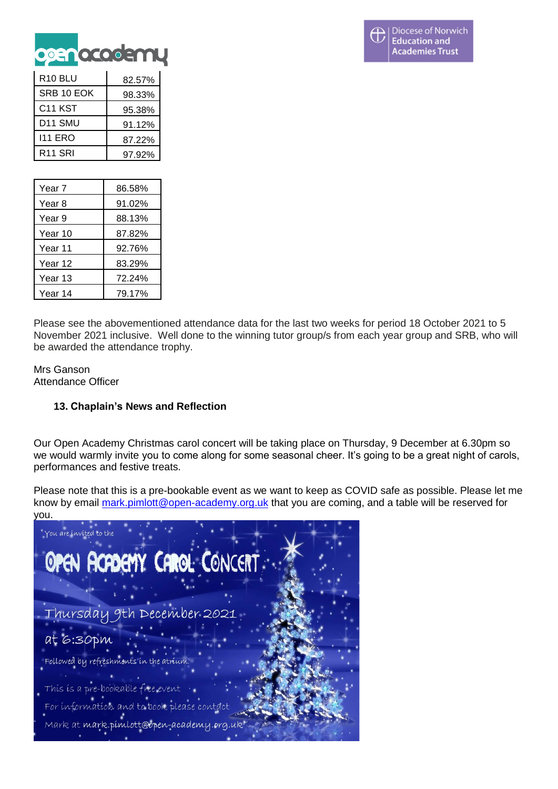

| R <sub>10</sub> BLU | 82.57% |
|---------------------|--------|
| SRB 10 EOK          | 98.33% |
| C <sub>11</sub> KST | 95.38% |
| D <sub>11</sub> SMU | 91.12% |
| 111 ERO             | 87.22% |
| R <sub>11</sub> SRI | 97.92% |

| Year 7  | 86.58% |
|---------|--------|
| Year 8  | 91.02% |
| Year 9  | 88.13% |
| Year 10 | 87.82% |
| Year 11 | 92.76% |
| Year 12 | 83.29% |
| Year 13 | 72.24% |
| Year 14 | 79.17% |

Please see the abovementioned attendance data for the last two weeks for period 18 October 2021 to 5 November 2021 inclusive. Well done to the winning tutor group/s from each year group and SRB, who will be awarded the attendance trophy.

Mrs Ganson Attendance Officer

#### **13. Chaplain's News and Reflection**

Our Open Academy Christmas carol concert will be taking place on Thursday, 9 December at 6.30pm so we would warmly invite you to come along for some seasonal cheer. It's going to be a great night of carols, performances and festive treats.

Please note that this is a pre-bookable event as we want to keep as COVID safe as possible. Please let me know by email [mark.pimlott@open-academy.org.uk](mailto:mark.pimlott@open-academy.org.uk) that you are coming, and a table will be reserved for you.

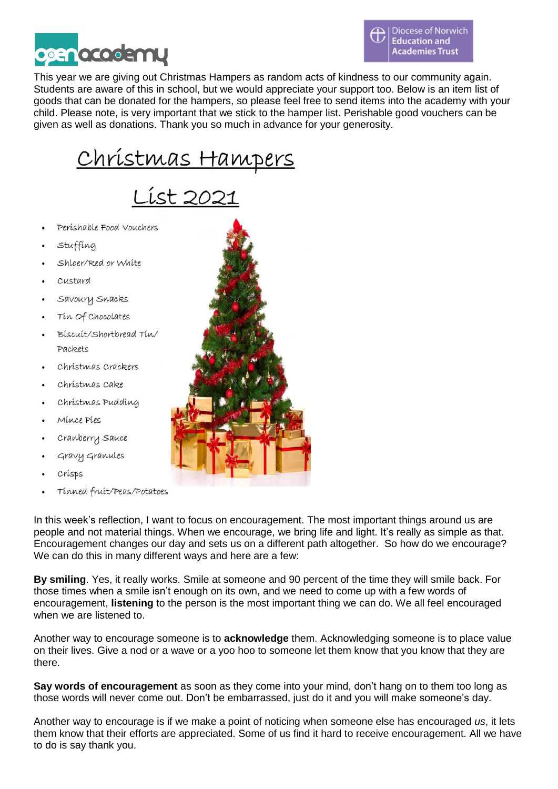



This year we are giving out Christmas Hampers as random acts of kindness to our community again. Students are aware of this in school, but we would appreciate your support too. Below is an item list of goods that can be donated for the hampers, so please feel free to send items into the academy with your child. Please note, is very important that we stick to the hamper list. Perishable good vouchers can be given as well as donations. Thank you so much in advance for your generosity.

# Christmas Hampers<br>List 2021

- Perishable Food Vouchers
- Stuffing
- Shloer/Red or White
- Custard
- Savoury Snacks
- Tin Of Chocolates
- Biscuit/Shortbread Tin/ Packets
- Christmas Crackers
- Christmas Cake
- Christmas Pudding
- Mince Pies
- Cranberry Sauce
- Gravy Granules
- Crisps
- Tinned fruit/Peas/Potatoes

In this week's reflection, I want to focus on encouragement. The most important things around us are people and not material things. When we encourage, we bring life and light. It's really as simple as that. Encouragement changes our day and sets us on a different path altogether. So how do we encourage? We can do this in many different ways and here are a few:

**By smiling**. Yes, it really works. Smile at someone and 90 percent of the time they will smile back. For those times when a smile isn't enough on its own, and we need to come up with a few words of encouragement, **listening** to the person is the most important thing we can do. We all feel encouraged when we are listened to.

Another way to encourage someone is to **acknowledge** them. Acknowledging someone is to place value on their lives. Give a nod or a wave or a yoo hoo to someone let them know that you know that they are there.

**Say words of encouragement** as soon as they come into your mind, don't hang on to them too long as those words will never come out. Don't be embarrassed, just do it and you will make someone's day.

Another way to encourage is if we make a point of noticing when someone else has encouraged *us*, it lets them know that their efforts are appreciated. Some of us find it hard to receive encouragement. All we have to do is say thank you.